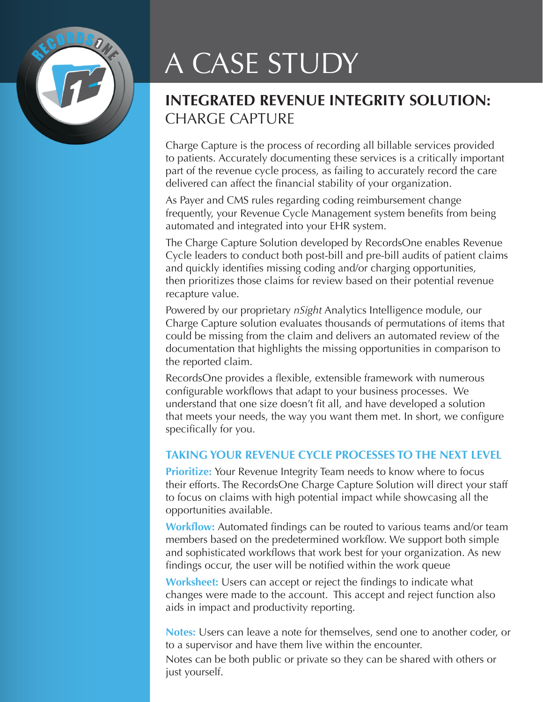

# A CASE STUDY

# **INTEGRATED REVENUE INTEGRITY SOLUTION:**  CHARGE CAPTURE

Charge Capture is the process of recording all billable services provided to patients. Accurately documenting these services is a critically important part of the revenue cycle process, as failing to accurately record the care delivered can affect the financial stability of your organization.

As Payer and CMS rules regarding coding reimbursement change frequently, your Revenue Cycle Management system benefits from being automated and integrated into your EHR system.

The Charge Capture Solution developed by RecordsOne enables Revenue Cycle leaders to conduct both post-bill and pre-bill audits of patient claims and quickly identifies missing coding and/or charging opportunities, then prioritizes those claims for review based on their potential revenue recapture value.

Powered by our proprietary *nSight* Analytics Intelligence module, our Charge Capture solution evaluates thousands of permutations of items that could be missing from the claim and delivers an automated review of the documentation that highlights the missing opportunities in comparison to the reported claim.

RecordsOne provides a flexible, extensible framework with numerous configurable workflows that adapt to your business processes. We understand that one size doesn't fit all, and have developed a solution that meets your needs, the way you want them met. In short, we configure specifically for you.

## **TAKING YOUR REVENUE CYCLE PROCESSES TO THE NEXT LEVEL**

**Prioritize:** Your Revenue Integrity Team needs to know where to focus their efforts. The RecordsOne Charge Capture Solution will direct your staff to focus on claims with high potential impact while showcasing all the opportunities available.

**Workflow:** Automated findings can be routed to various teams and/or team members based on the predetermined workflow. We support both simple and sophisticated workflows that work best for your organization. As new findings occur, the user will be notified within the work queue

**Worksheet:** Users can accept or reject the findings to indicate what changes were made to the account. This accept and reject function also aids in impact and productivity reporting.

**Notes:** Users can leave a note for themselves, send one to another coder, or to a supervisor and have them live within the encounter. Notes can be both public or private so they can be shared with others or just yourself.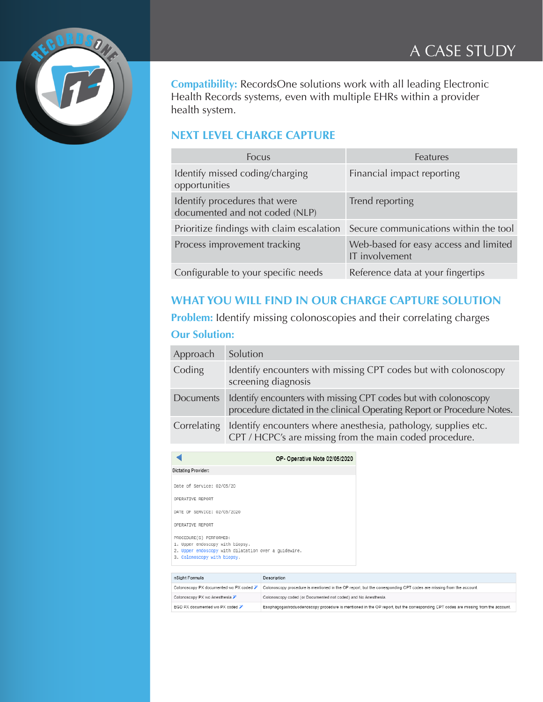

**Compatibility:** RecordsOne solutions work with all leading Electronic Health Records systems, even with multiple EHRs within a provider health system.

## **NEXT LEVEL CHARGE CAPTURE**

| Focus                                                           | Features                                                |
|-----------------------------------------------------------------|---------------------------------------------------------|
| Identify missed coding/charging<br>opportunities                | Financial impact reporting                              |
| Identify procedures that were<br>documented and not coded (NLP) | Trend reporting                                         |
| Prioritize findings with claim escalation                       | Secure communications within the tool                   |
| Process improvement tracking                                    | Web-based for easy access and limited<br>IT involvement |
| Configurable to your specific needs                             | Reference data at your fingertips                       |

## **WHAT YOU WILL FIND IN OUR CHARGE CAPTURE SOLUTION**

**Problem:** Identify missing colonoscopies and their correlating charges **Our Solution:**

| Approach    | Solution                                                                                                                                   |
|-------------|--------------------------------------------------------------------------------------------------------------------------------------------|
| Coding      | Identify encounters with missing CPT codes but with colonoscopy<br>screening diagnosis                                                     |
| Documents   | Identify encounters with missing CPT codes but with colonoscopy<br>procedure dictated in the clinical Operating Report or Procedure Notes. |
| Correlating | Identify encounters where anesthesia, pathology, supplies etc.<br>CPT / HCPC's are missing from the main coded procedure.                  |

|                                                                                                                                                   | OP-Operative Note 02/05/2020                                                                                             |
|---------------------------------------------------------------------------------------------------------------------------------------------------|--------------------------------------------------------------------------------------------------------------------------|
| Dictating Provider:                                                                                                                               |                                                                                                                          |
| Date of Service: 02/05/20                                                                                                                         |                                                                                                                          |
| OPERATIVE REPORT                                                                                                                                  |                                                                                                                          |
| DATE OF SERVICE: 02/05/2020                                                                                                                       |                                                                                                                          |
| OPERATIVE REPORT                                                                                                                                  |                                                                                                                          |
| PROCEDURE(S) PERFORMED:<br>1. Upper endoscopy with biopsy.<br>2. Upper endoscopy with dilatation over a quidewire.<br>3. Colonoscopy with biopsy. |                                                                                                                          |
| n Sight Formula                                                                                                                                   | Description                                                                                                              |
|                                                                                                                                                   |                                                                                                                          |
|                                                                                                                                                   | Colonoscopy PX documented wo PX coded $\triangleright$ Colonoscopy procedure is mentioned in the OP report, but the corr |

| n Sight Formula                           | Description                                                                                                                       |
|-------------------------------------------|-----------------------------------------------------------------------------------------------------------------------------------|
| Colonoscopy PX documented wo PX coded »   | Colonoscopy procedure is mentioned in the OP report, but the corresponding CPT codes are missing from the account.                |
| Colonoscopy PX wo Anesthesia <del>∕</del> | Colonoscopy coded (or Documented not coded) and No Anesthesia.                                                                    |
| EGD PX documented wo PX coded             | Esophagogastroduodenoscopy procedure is mentioned in the OP report, but the corresponding CPT codes are missing from the account. |